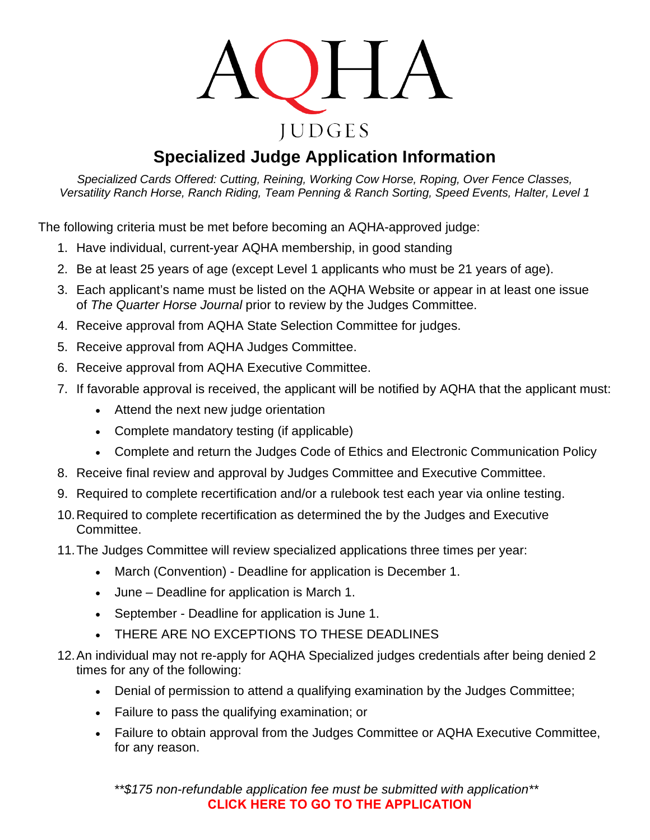

## **Specialized Judge Application Information**

*Specialized Cards Offered: Cutting, Reining, Working Cow Horse, Roping, Over Fence Classes, Versatility Ranch Horse, Ranch Riding, Team Penning & Ranch Sorting, Speed Events, Halter, Level 1*

The following criteria must be met before becoming an AQHA-approved judge:

- 1. Have individual, current-year AQHA membership, in good standing
- 2. Be at least 25 years of age (except Level 1 applicants who must be 21 years of age).
- 3. Each applicant's name must be listed on the AQHA Website or appear in at least one issue of *The Quarter Horse Journal* prior to review by the Judges Committee.
- 4. Receive approval from AQHA State Selection Committee for judges.
- 5. Receive approval from AQHA Judges Committee.
- 6. Receive approval from AQHA Executive Committee.
- 7. If favorable approval is received, the applicant will be notified by AQHA that the applicant must:
	- Attend the next new judge orientation
	- Complete mandatory testing (if applicable)
	- Complete and return the Judges Code of Ethics and Electronic Communication Policy
- 8. Receive final review and approval by Judges Committee and Executive Committee.
- 9. Required to complete recertification and/or a rulebook test each year via online testing.
- 10.Required to complete recertification as determined the by the Judges and Executive Committee.
- 11.The Judges Committee will review specialized applications three times per year:
	- March (Convention) Deadline for application is December 1.
	- June Deadline for application is March 1.
	- September Deadline for application is June 1.
	- THERE ARE NO EXCEPTIONS TO THESE DEADLINES
- 12.An individual may not re-apply for AQHA Specialized judges credentials after being denied 2 times for any of the following:
	- Denial of permission to attend a qualifying examination by the Judges Committee;
	- Failure to pass the qualifying examination; or
	- Failure to obtain approval from the Judges Committee or AQHA Executive Committee, for any reason.

*\*\*\$175 non-refundable application fee must be submitted with application\*\** **[CLICK HERE TO GO TO THE APPLICATIO](https://www.aqha.com/specialized-judge-online-application)N**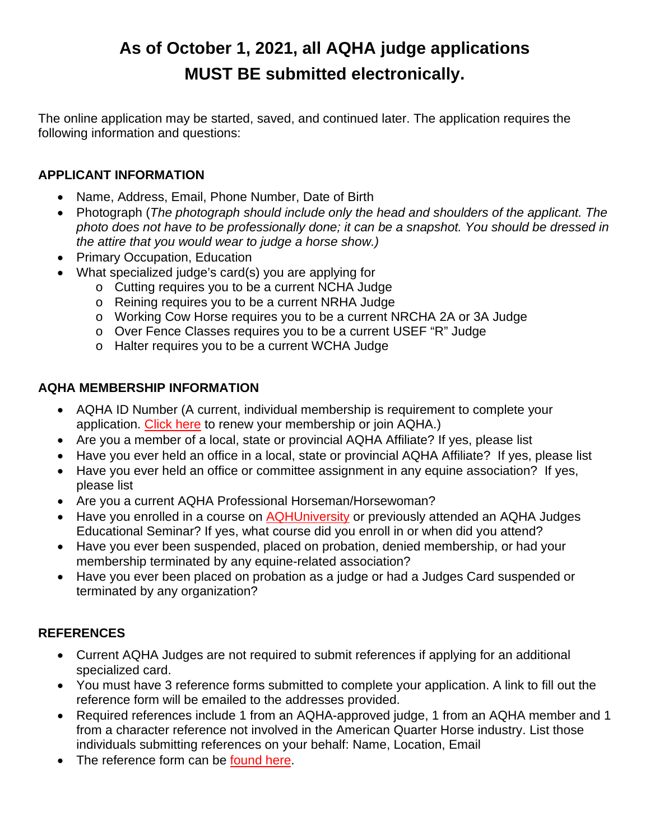# **As of October 1, 2021, all AQHA judge applications MUST BE submitted electronically.**

The online application may be started, saved, and continued later. The application requires the following information and questions:

#### **APPLICANT INFORMATION**

- Name, Address, Email, Phone Number, Date of Birth
- Photograph (*The photograph should include only the head and shoulders of the applicant. The photo does not have to be professionally done; it can be a snapshot. You should be dressed in the attire that you would wear to judge a horse show.)*
- Primary Occupation, Education
- What specialized judge's card(s) you are applying for
	- o Cutting requires you to be a current NCHA Judge
	- o Reining requires you to be a current NRHA Judge
	- o Working Cow Horse requires you to be a current NRCHA 2A or 3A Judge
	- o Over Fence Classes requires you to be a current USEF "R" Judge
	- o Halter requires you to be a current WCHA Judge

#### **AQHA MEMBERSHIP INFORMATION**

- AQHA ID Number (A current, individual membership is requirement to complete your application. [Click here](https://www.aqha.com/aqha-memberships) to renew your membership or join AQHA.)
- Are you a member of a local, state or provincial AQHA Affiliate? If yes, please list
- Have you ever held an office in a local, state or provincial AQHA Affiliate? If yes, please list
- Have you ever held an office or committee assignment in any equine association? If yes, please list
- Are you a current AQHA Professional Horseman/Horsewoman?
- Have you enrolled in a course on [AQHUniversity](https://aqhaorg-my.sharepoint.com/personal/sreynolds_aqha_org/Documents/showing.aqhuniversity.com) or previously attended an AQHA Judges Educational Seminar? If yes, what course did you enroll in or when did you attend?
- Have you ever been suspended, placed on probation, denied membership, or had your membership terminated by any equine-related association?
- Have you ever been placed on probation as a judge or had a Judges Card suspended or terminated by any organization?

### **REFERENCES**

- Current AQHA Judges are not required to submit references if applying for an additional specialized card.
- You must have 3 reference forms submitted to complete your application. A link to fill out the reference form will be emailed to the addresses provided.
- Required references include 1 from an AQHA-approved judge, 1 from an AQHA member and 1 from a character reference not involved in the American Quarter Horse industry. List those individuals submitting references on your behalf: Name, Location, Email
- The reference form can be [found here.](https://www.aqha.com/judge-applicant-reference-form)